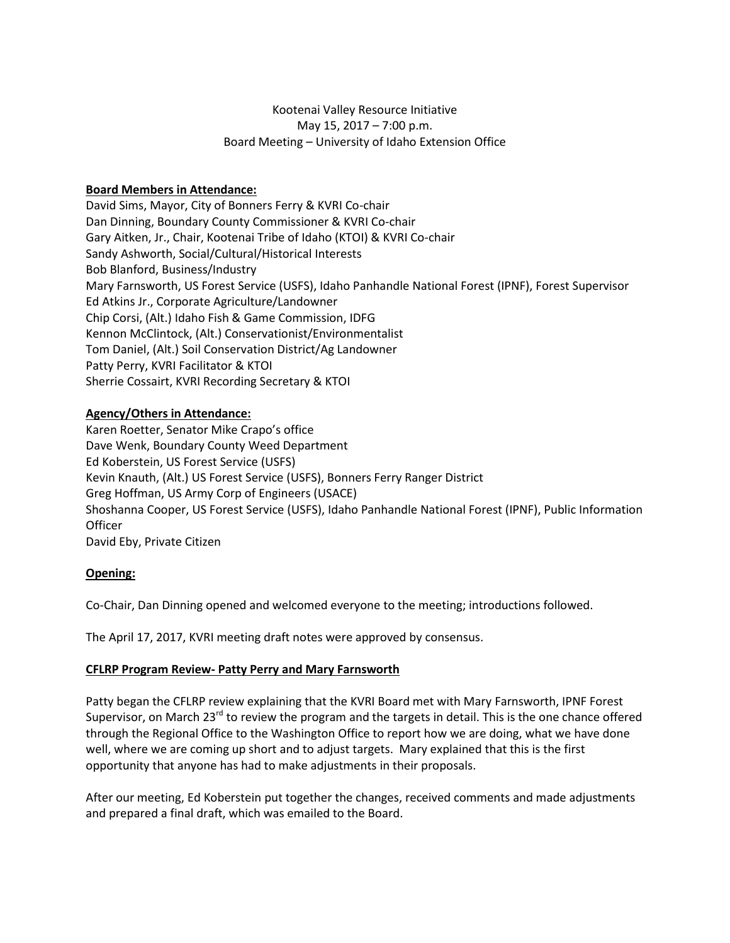# Kootenai Valley Resource Initiative May 15, 2017 – 7:00 p.m. Board Meeting – University of Idaho Extension Office

# **Board Members in Attendance:**

David Sims, Mayor, City of Bonners Ferry & KVRI Co-chair Dan Dinning, Boundary County Commissioner & KVRI Co-chair Gary Aitken, Jr., Chair, Kootenai Tribe of Idaho (KTOI) & KVRI Co-chair Sandy Ashworth, Social/Cultural/Historical Interests Bob Blanford, Business/Industry Mary Farnsworth, US Forest Service (USFS), Idaho Panhandle National Forest (IPNF), Forest Supervisor Ed Atkins Jr., Corporate Agriculture/Landowner Chip Corsi, (Alt.) Idaho Fish & Game Commission, IDFG Kennon McClintock, (Alt.) Conservationist/Environmentalist Tom Daniel, (Alt.) Soil Conservation District/Ag Landowner Patty Perry, KVRI Facilitator & KTOI Sherrie Cossairt, KVRI Recording Secretary & KTOI

# **Agency/Others in Attendance:**

Karen Roetter, Senator Mike Crapo's office Dave Wenk, Boundary County Weed Department Ed Koberstein, US Forest Service (USFS) Kevin Knauth, (Alt.) US Forest Service (USFS), Bonners Ferry Ranger District Greg Hoffman, US Army Corp of Engineers (USACE) Shoshanna Cooper, US Forest Service (USFS), Idaho Panhandle National Forest (IPNF), Public Information **Officer** David Eby, Private Citizen

# **Opening:**

Co-Chair, Dan Dinning opened and welcomed everyone to the meeting; introductions followed.

The April 17, 2017, KVRI meeting draft notes were approved by consensus.

# **CFLRP Program Review- Patty Perry and Mary Farnsworth**

Patty began the CFLRP review explaining that the KVRI Board met with Mary Farnsworth, IPNF Forest Supervisor, on March 23<sup>rd</sup> to review the program and the targets in detail. This is the one chance offered through the Regional Office to the Washington Office to report how we are doing, what we have done well, where we are coming up short and to adjust targets. Mary explained that this is the first opportunity that anyone has had to make adjustments in their proposals.

After our meeting, Ed Koberstein put together the changes, received comments and made adjustments and prepared a final draft, which was emailed to the Board.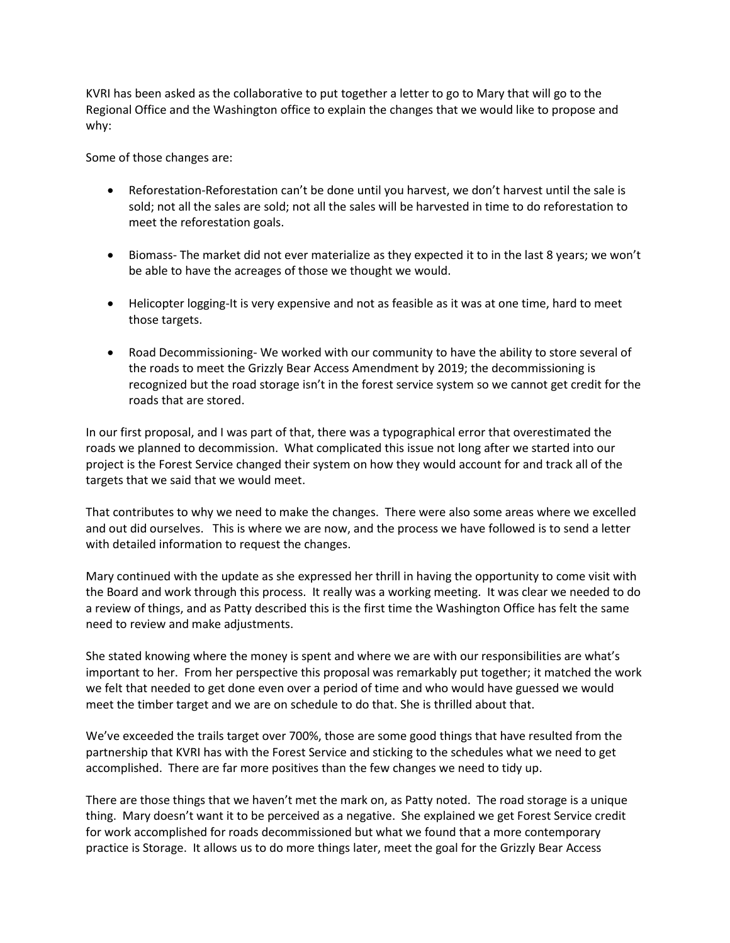KVRI has been asked as the collaborative to put together a letter to go to Mary that will go to the Regional Office and the Washington office to explain the changes that we would like to propose and why:

Some of those changes are:

- Reforestation-Reforestation can't be done until you harvest, we don't harvest until the sale is sold; not all the sales are sold; not all the sales will be harvested in time to do reforestation to meet the reforestation goals.
- Biomass- The market did not ever materialize as they expected it to in the last 8 years; we won't be able to have the acreages of those we thought we would.
- Helicopter logging-It is very expensive and not as feasible as it was at one time, hard to meet those targets.
- Road Decommissioning- We worked with our community to have the ability to store several of the roads to meet the Grizzly Bear Access Amendment by 2019; the decommissioning is recognized but the road storage isn't in the forest service system so we cannot get credit for the roads that are stored.

In our first proposal, and I was part of that, there was a typographical error that overestimated the roads we planned to decommission. What complicated this issue not long after we started into our project is the Forest Service changed their system on how they would account for and track all of the targets that we said that we would meet.

That contributes to why we need to make the changes. There were also some areas where we excelled and out did ourselves. This is where we are now, and the process we have followed is to send a letter with detailed information to request the changes.

Mary continued with the update as she expressed her thrill in having the opportunity to come visit with the Board and work through this process. It really was a working meeting. It was clear we needed to do a review of things, and as Patty described this is the first time the Washington Office has felt the same need to review and make adjustments.

She stated knowing where the money is spent and where we are with our responsibilities are what's important to her. From her perspective this proposal was remarkably put together; it matched the work we felt that needed to get done even over a period of time and who would have guessed we would meet the timber target and we are on schedule to do that. She is thrilled about that.

We've exceeded the trails target over 700%, those are some good things that have resulted from the partnership that KVRI has with the Forest Service and sticking to the schedules what we need to get accomplished. There are far more positives than the few changes we need to tidy up.

There are those things that we haven't met the mark on, as Patty noted. The road storage is a unique thing. Mary doesn't want it to be perceived as a negative. She explained we get Forest Service credit for work accomplished for roads decommissioned but what we found that a more contemporary practice is Storage. It allows us to do more things later, meet the goal for the Grizzly Bear Access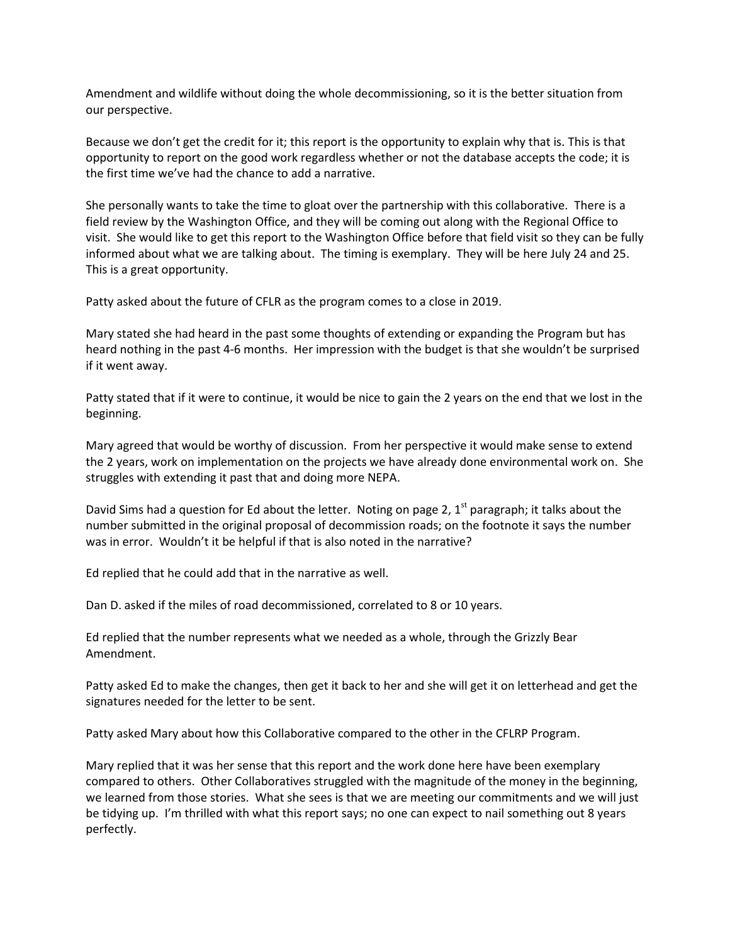Amendment and wildlife without doing the whole decommissioning, so it is the better situation from our perspective.

Because we don't get the credit for it; this report is the opportunity to explain why that is. This is that opportunity to report on the good work regardless whether or not the database accepts the code; it is the first time we've had the chance to add a narrative.

She personally wants to take the time to gloat over the partnership with this collaborative. There is a field review by the Washington Office, and they will be coming out along with the Regional Office to visit. She would like to get this report to the Washington Office before that field visit so they can be fully informed about what we are talking about. The timing is exemplary. They will be here July 24 and 25. This is a great opportunity.

Patty asked about the future of CFLR as the program comes to a close in 2019.

Mary stated she had heard in the past some thoughts of extending or expanding the Program but has heard nothing in the past 4-6 months. Her impression with the budget is that she wouldn't be surprised if it went away.

Patty stated that if it were to continue, it would be nice to gain the 2 years on the end that we lost in the beginning.

Mary agreed that would be worthy of discussion. From her perspective it would make sense to extend the 2 years, work on implementation on the projects we have already done environmental work on. She struggles with extending it past that and doing more NEPA.

David Sims had a question for Ed about the letter. Noting on page 2,  $1<sup>st</sup>$  paragraph; it talks about the number submitted in the original proposal of decommission roads; on the footnote it says the number was in error. Wouldn't it be helpful if that is also noted in the narrative?

Ed replied that he could add that in the narrative as well.

Dan D. asked if the miles of road decommissioned, correlated to 8 or 10 years.

Ed replied that the number represents what we needed as a whole, through the Grizzly Bear Amendment.

Patty asked Ed to make the changes, then get it back to her and she will get it on letterhead and get the signatures needed for the letter to be sent.

Patty asked Mary about how this Collaborative compared to the other in the CFLRP Program.

Mary replied that it was her sense that this report and the work done here have been exemplary compared to others. Other Collaboratives struggled with the magnitude of the money in the beginning, we learned from those stories. What she sees is that we are meeting our commitments and we will just be tidying up. I'm thrilled with what this report says; no one can expect to nail something out 8 years perfectly.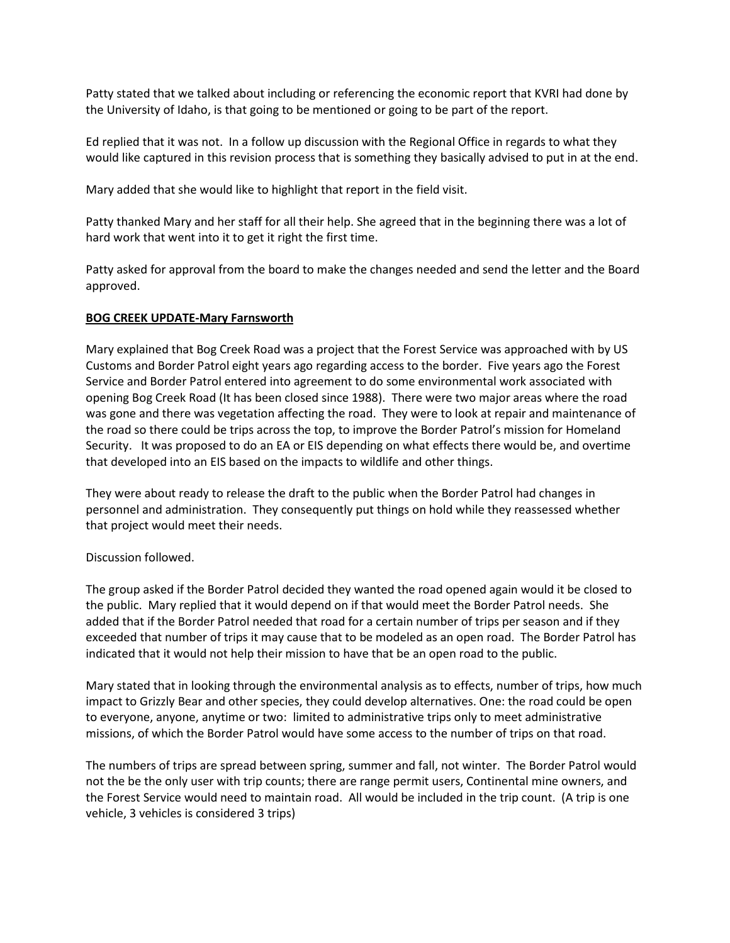Patty stated that we talked about including or referencing the economic report that KVRI had done by the University of Idaho, is that going to be mentioned or going to be part of the report.

Ed replied that it was not. In a follow up discussion with the Regional Office in regards to what they would like captured in this revision process that is something they basically advised to put in at the end.

Mary added that she would like to highlight that report in the field visit.

Patty thanked Mary and her staff for all their help. She agreed that in the beginning there was a lot of hard work that went into it to get it right the first time.

Patty asked for approval from the board to make the changes needed and send the letter and the Board approved.

#### **BOG CREEK UPDATE-Mary Farnsworth**

Mary explained that Bog Creek Road was a project that the Forest Service was approached with by US Customs and Border Patrol eight years ago regarding access to the border. Five years ago the Forest Service and Border Patrol entered into agreement to do some environmental work associated with opening Bog Creek Road (It has been closed since 1988). There were two major areas where the road was gone and there was vegetation affecting the road. They were to look at repair and maintenance of the road so there could be trips across the top, to improve the Border Patrol's mission for Homeland Security. It was proposed to do an EA or EIS depending on what effects there would be, and overtime that developed into an EIS based on the impacts to wildlife and other things.

They were about ready to release the draft to the public when the Border Patrol had changes in personnel and administration. They consequently put things on hold while they reassessed whether that project would meet their needs.

# Discussion followed.

The group asked if the Border Patrol decided they wanted the road opened again would it be closed to the public. Mary replied that it would depend on if that would meet the Border Patrol needs. She added that if the Border Patrol needed that road for a certain number of trips per season and if they exceeded that number of trips it may cause that to be modeled as an open road. The Border Patrol has indicated that it would not help their mission to have that be an open road to the public.

Mary stated that in looking through the environmental analysis as to effects, number of trips, how much impact to Grizzly Bear and other species, they could develop alternatives. One: the road could be open to everyone, anyone, anytime or two: limited to administrative trips only to meet administrative missions, of which the Border Patrol would have some access to the number of trips on that road.

The numbers of trips are spread between spring, summer and fall, not winter. The Border Patrol would not the be the only user with trip counts; there are range permit users, Continental mine owners, and the Forest Service would need to maintain road. All would be included in the trip count. (A trip is one vehicle, 3 vehicles is considered 3 trips)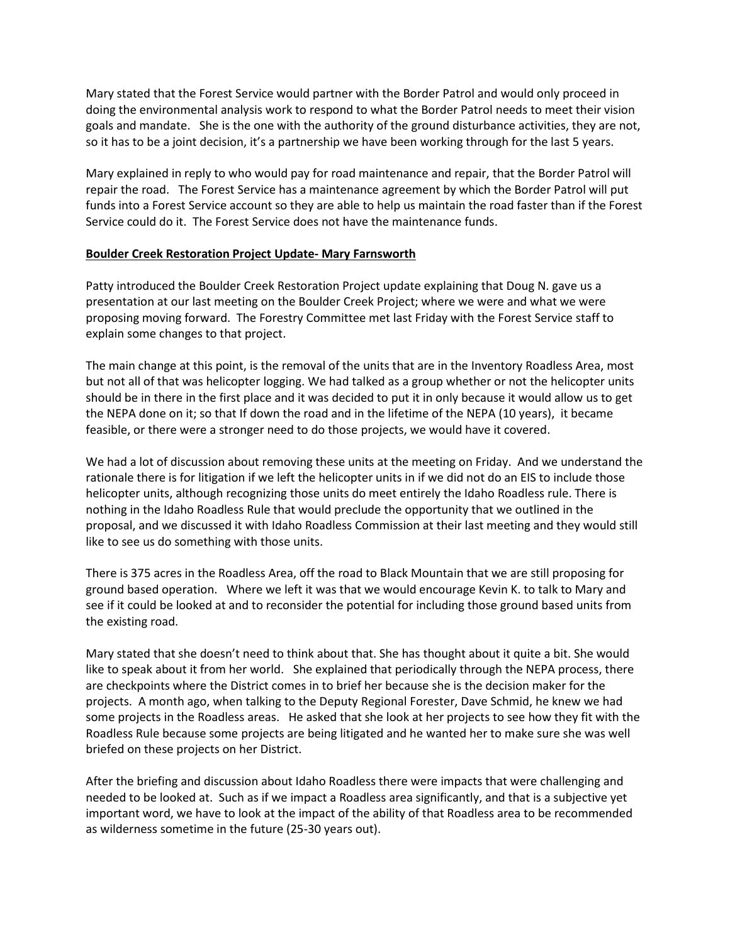Mary stated that the Forest Service would partner with the Border Patrol and would only proceed in doing the environmental analysis work to respond to what the Border Patrol needs to meet their vision goals and mandate. She is the one with the authority of the ground disturbance activities, they are not, so it has to be a joint decision, it's a partnership we have been working through for the last 5 years.

Mary explained in reply to who would pay for road maintenance and repair, that the Border Patrol will repair the road. The Forest Service has a maintenance agreement by which the Border Patrol will put funds into a Forest Service account so they are able to help us maintain the road faster than if the Forest Service could do it. The Forest Service does not have the maintenance funds.

# **Boulder Creek Restoration Project Update- Mary Farnsworth**

Patty introduced the Boulder Creek Restoration Project update explaining that Doug N. gave us a presentation at our last meeting on the Boulder Creek Project; where we were and what we were proposing moving forward. The Forestry Committee met last Friday with the Forest Service staff to explain some changes to that project.

The main change at this point, is the removal of the units that are in the Inventory Roadless Area, most but not all of that was helicopter logging. We had talked as a group whether or not the helicopter units should be in there in the first place and it was decided to put it in only because it would allow us to get the NEPA done on it; so that If down the road and in the lifetime of the NEPA (10 years), it became feasible, or there were a stronger need to do those projects, we would have it covered.

We had a lot of discussion about removing these units at the meeting on Friday. And we understand the rationale there is for litigation if we left the helicopter units in if we did not do an EIS to include those helicopter units, although recognizing those units do meet entirely the Idaho Roadless rule. There is nothing in the Idaho Roadless Rule that would preclude the opportunity that we outlined in the proposal, and we discussed it with Idaho Roadless Commission at their last meeting and they would still like to see us do something with those units.

There is 375 acres in the Roadless Area, off the road to Black Mountain that we are still proposing for ground based operation. Where we left it was that we would encourage Kevin K. to talk to Mary and see if it could be looked at and to reconsider the potential for including those ground based units from the existing road.

Mary stated that she doesn't need to think about that. She has thought about it quite a bit. She would like to speak about it from her world. She explained that periodically through the NEPA process, there are checkpoints where the District comes in to brief her because she is the decision maker for the projects. A month ago, when talking to the Deputy Regional Forester, Dave Schmid, he knew we had some projects in the Roadless areas. He asked that she look at her projects to see how they fit with the Roadless Rule because some projects are being litigated and he wanted her to make sure she was well briefed on these projects on her District.

After the briefing and discussion about Idaho Roadless there were impacts that were challenging and needed to be looked at. Such as if we impact a Roadless area significantly, and that is a subjective yet important word, we have to look at the impact of the ability of that Roadless area to be recommended as wilderness sometime in the future (25-30 years out).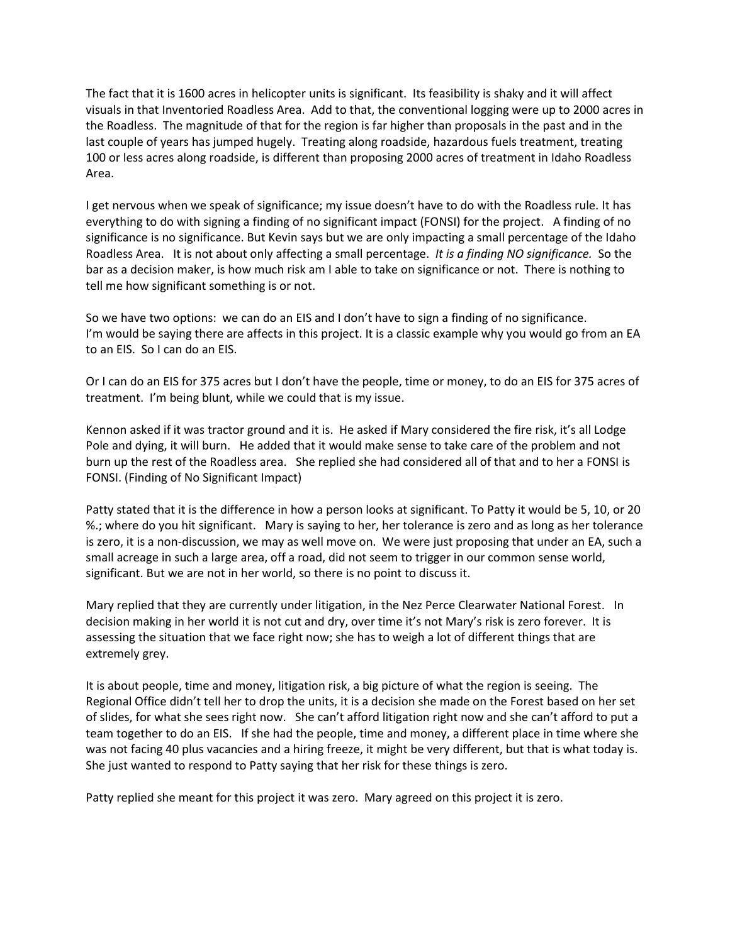The fact that it is 1600 acres in helicopter units is significant. Its feasibility is shaky and it will affect visuals in that Inventoried Roadless Area. Add to that, the conventional logging were up to 2000 acres in the Roadless. The magnitude of that for the region is far higher than proposals in the past and in the last couple of years has jumped hugely. Treating along roadside, hazardous fuels treatment, treating 100 or less acres along roadside, is different than proposing 2000 acres of treatment in Idaho Roadless Area.

I get nervous when we speak of significance; my issue doesn't have to do with the Roadless rule. It has everything to do with signing a finding of no significant impact (FONSI) for the project. A finding of no significance is no significance. But Kevin says but we are only impacting a small percentage of the Idaho Roadless Area. It is not about only affecting a small percentage. *It is a finding NO significance.* So the bar as a decision maker, is how much risk am I able to take on significance or not. There is nothing to tell me how significant something is or not.

So we have two options: we can do an EIS and I don't have to sign a finding of no significance. I'm would be saying there are affects in this project. It is a classic example why you would go from an EA to an EIS. So I can do an EIS.

Or I can do an EIS for 375 acres but I don't have the people, time or money, to do an EIS for 375 acres of treatment. I'm being blunt, while we could that is my issue.

Kennon asked if it was tractor ground and it is. He asked if Mary considered the fire risk, it's all Lodge Pole and dying, it will burn. He added that it would make sense to take care of the problem and not burn up the rest of the Roadless area. She replied she had considered all of that and to her a FONSI is FONSI. (Finding of No Significant Impact)

Patty stated that it is the difference in how a person looks at significant. To Patty it would be 5, 10, or 20 %.; where do you hit significant. Mary is saying to her, her tolerance is zero and as long as her tolerance is zero, it is a non-discussion, we may as well move on. We were just proposing that under an EA, such a small acreage in such a large area, off a road, did not seem to trigger in our common sense world, significant. But we are not in her world, so there is no point to discuss it.

Mary replied that they are currently under litigation, in the Nez Perce Clearwater National Forest. In decision making in her world it is not cut and dry, over time it's not Mary's risk is zero forever. It is assessing the situation that we face right now; she has to weigh a lot of different things that are extremely grey.

It is about people, time and money, litigation risk, a big picture of what the region is seeing. The Regional Office didn't tell her to drop the units, it is a decision she made on the Forest based on her set of slides, for what she sees right now. She can't afford litigation right now and she can't afford to put a team together to do an EIS. If she had the people, time and money, a different place in time where she was not facing 40 plus vacancies and a hiring freeze, it might be very different, but that is what today is. She just wanted to respond to Patty saying that her risk for these things is zero.

Patty replied she meant for this project it was zero. Mary agreed on this project it is zero.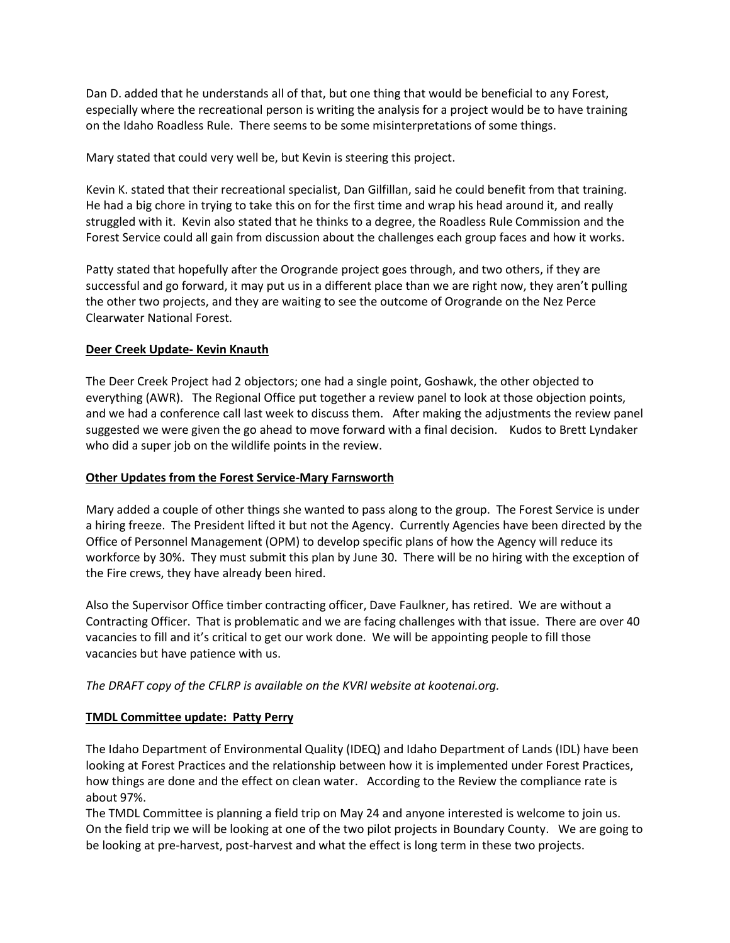Dan D. added that he understands all of that, but one thing that would be beneficial to any Forest, especially where the recreational person is writing the analysis for a project would be to have training on the Idaho Roadless Rule. There seems to be some misinterpretations of some things.

Mary stated that could very well be, but Kevin is steering this project.

Kevin K. stated that their recreational specialist, Dan Gilfillan, said he could benefit from that training. He had a big chore in trying to take this on for the first time and wrap his head around it, and really struggled with it. Kevin also stated that he thinks to a degree, the Roadless Rule Commission and the Forest Service could all gain from discussion about the challenges each group faces and how it works.

Patty stated that hopefully after the Orogrande project goes through, and two others, if they are successful and go forward, it may put us in a different place than we are right now, they aren't pulling the other two projects, and they are waiting to see the outcome of Orogrande on the Nez Perce Clearwater National Forest.

# **Deer Creek Update- Kevin Knauth**

The Deer Creek Project had 2 objectors; one had a single point, Goshawk, the other objected to everything (AWR). The Regional Office put together a review panel to look at those objection points, and we had a conference call last week to discuss them. After making the adjustments the review panel suggested we were given the go ahead to move forward with a final decision. Kudos to Brett Lyndaker who did a super job on the wildlife points in the review.

# **Other Updates from the Forest Service-Mary Farnsworth**

Mary added a couple of other things she wanted to pass along to the group. The Forest Service is under a hiring freeze. The President lifted it but not the Agency. Currently Agencies have been directed by the Office of Personnel Management (OPM) to develop specific plans of how the Agency will reduce its workforce by 30%. They must submit this plan by June 30. There will be no hiring with the exception of the Fire crews, they have already been hired.

Also the Supervisor Office timber contracting officer, Dave Faulkner, has retired. We are without a Contracting Officer. That is problematic and we are facing challenges with that issue. There are over 40 vacancies to fill and it's critical to get our work done. We will be appointing people to fill those vacancies but have patience with us.

# *The DRAFT copy of the CFLRP is available on the KVRI website at kootenai.org.*

# **TMDL Committee update: Patty Perry**

The Idaho Department of Environmental Quality (IDEQ) and Idaho Department of Lands (IDL) have been looking at Forest Practices and the relationship between how it is implemented under Forest Practices, how things are done and the effect on clean water. According to the Review the compliance rate is about 97%.

The TMDL Committee is planning a field trip on May 24 and anyone interested is welcome to join us. On the field trip we will be looking at one of the two pilot projects in Boundary County. We are going to be looking at pre-harvest, post-harvest and what the effect is long term in these two projects.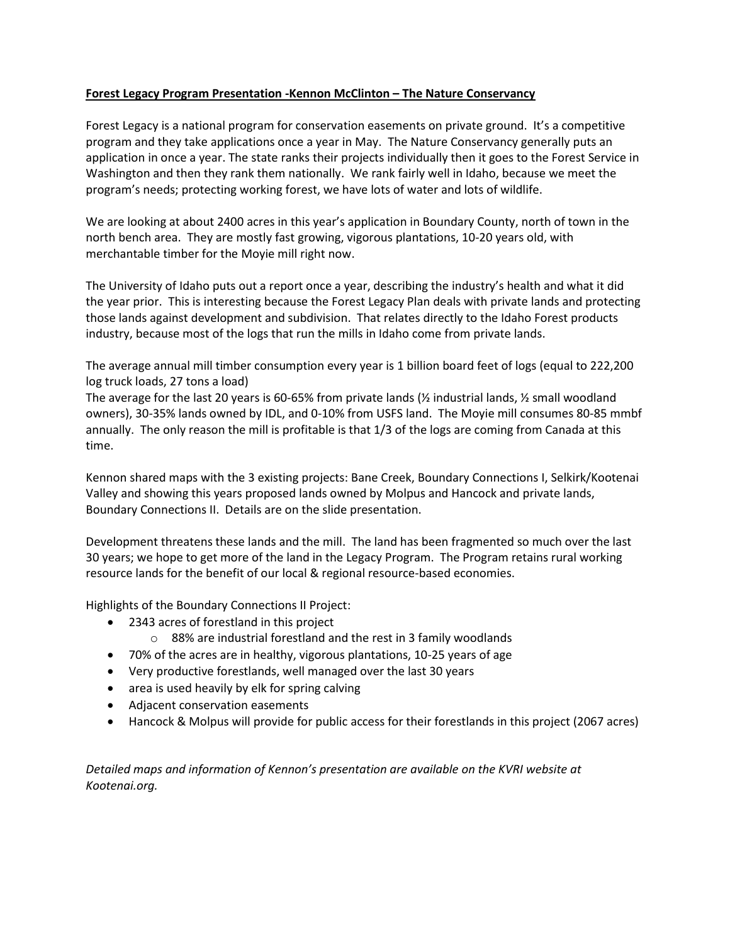# **Forest Legacy Program Presentation -Kennon McClinton – The Nature Conservancy**

Forest Legacy is a national program for conservation easements on private ground. It's a competitive program and they take applications once a year in May. The Nature Conservancy generally puts an application in once a year. The state ranks their projects individually then it goes to the Forest Service in Washington and then they rank them nationally. We rank fairly well in Idaho, because we meet the program's needs; protecting working forest, we have lots of water and lots of wildlife.

We are looking at about 2400 acres in this year's application in Boundary County, north of town in the north bench area. They are mostly fast growing, vigorous plantations, 10-20 years old, with merchantable timber for the Moyie mill right now.

The University of Idaho puts out a report once a year, describing the industry's health and what it did the year prior. This is interesting because the Forest Legacy Plan deals with private lands and protecting those lands against development and subdivision. That relates directly to the Idaho Forest products industry, because most of the logs that run the mills in Idaho come from private lands.

The average annual mill timber consumption every year is 1 billion board feet of logs (equal to 222,200 log truck loads, 27 tons a load)

The average for the last 20 years is 60-65% from private lands ( $\frac{1}{2}$  industrial lands,  $\frac{1}{2}$  small woodland owners), 30-35% lands owned by IDL, and 0-10% from USFS land. The Moyie mill consumes 80-85 mmbf annually. The only reason the mill is profitable is that 1/3 of the logs are coming from Canada at this time.

Kennon shared maps with the 3 existing projects: Bane Creek, Boundary Connections I, Selkirk/Kootenai Valley and showing this years proposed lands owned by Molpus and Hancock and private lands, Boundary Connections II. Details are on the slide presentation.

Development threatens these lands and the mill. The land has been fragmented so much over the last 30 years; we hope to get more of the land in the Legacy Program. The Program retains rural working resource lands for the benefit of our local & regional resource-based economies.

Highlights of the Boundary Connections II Project:

- 2343 acres of forestland in this project
	- o 88% are industrial forestland and the rest in 3 family woodlands
- 70% of the acres are in healthy, vigorous plantations, 10-25 years of age
- Very productive forestlands, well managed over the last 30 years
- area is used heavily by elk for spring calving
- Adjacent conservation easements
- Hancock & Molpus will provide for public access for their forestlands in this project (2067 acres)

*Detailed maps and information of Kennon's presentation are available on the KVRI website at Kootenai.org.*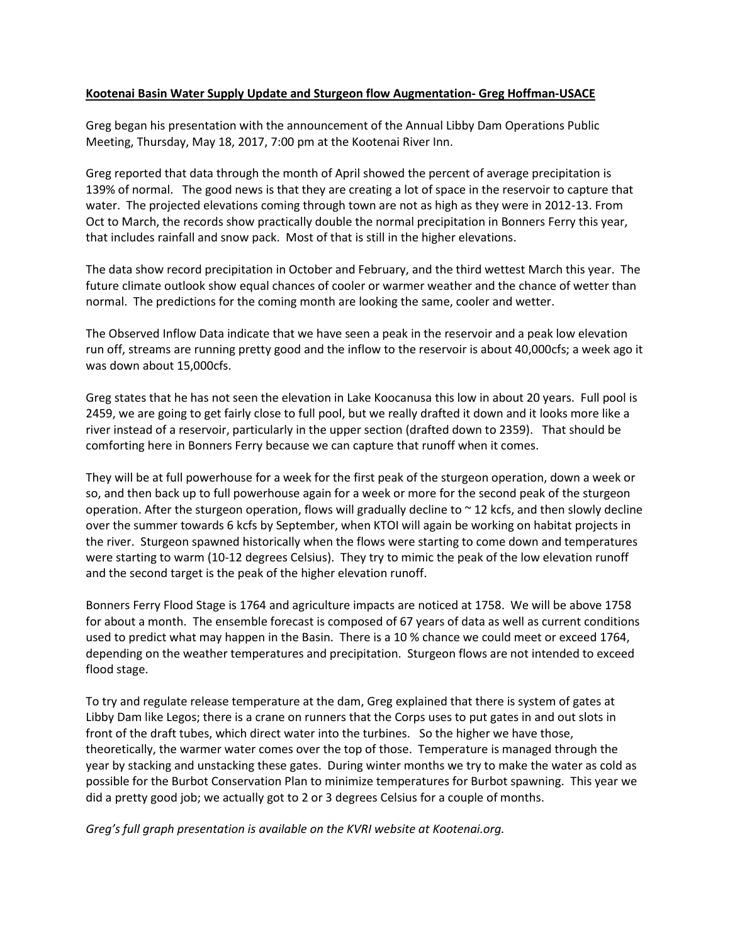#### **Kootenai Basin Water Supply Update and Sturgeon flow Augmentation- Greg Hoffman-USACE**

Greg began his presentation with the announcement of the Annual Libby Dam Operations Public Meeting, Thursday, May 18, 2017, 7:00 pm at the Kootenai River Inn.

Greg reported that data through the month of April showed the percent of average precipitation is 139% of normal. The good news is that they are creating a lot of space in the reservoir to capture that water. The projected elevations coming through town are not as high as they were in 2012-13. From Oct to March, the records show practically double the normal precipitation in Bonners Ferry this year, that includes rainfall and snow pack. Most of that is still in the higher elevations.

The data show record precipitation in October and February, and the third wettest March this year. The future climate outlook show equal chances of cooler or warmer weather and the chance of wetter than normal. The predictions for the coming month are looking the same, cooler and wetter.

The Observed Inflow Data indicate that we have seen a peak in the reservoir and a peak low elevation run off, streams are running pretty good and the inflow to the reservoir is about 40,000cfs; a week ago it was down about 15,000cfs.

Greg states that he has not seen the elevation in Lake Koocanusa this low in about 20 years. Full pool is 2459, we are going to get fairly close to full pool, but we really drafted it down and it looks more like a river instead of a reservoir, particularly in the upper section (drafted down to 2359). That should be comforting here in Bonners Ferry because we can capture that runoff when it comes.

They will be at full powerhouse for a week for the first peak of the sturgeon operation, down a week or so, and then back up to full powerhouse again for a week or more for the second peak of the sturgeon operation. After the sturgeon operation, flows will gradually decline to  $\sim$  12 kcfs, and then slowly decline over the summer towards 6 kcfs by September, when KTOI will again be working on habitat projects in the river. Sturgeon spawned historically when the flows were starting to come down and temperatures were starting to warm (10-12 degrees Celsius). They try to mimic the peak of the low elevation runoff and the second target is the peak of the higher elevation runoff.

Bonners Ferry Flood Stage is 1764 and agriculture impacts are noticed at 1758. We will be above 1758 for about a month. The ensemble forecast is composed of 67 years of data as well as current conditions used to predict what may happen in the Basin. There is a 10 % chance we could meet or exceed 1764, depending on the weather temperatures and precipitation. Sturgeon flows are not intended to exceed flood stage.

To try and regulate release temperature at the dam, Greg explained that there is system of gates at Libby Dam like Legos; there is a crane on runners that the Corps uses to put gates in and out slots in front of the draft tubes, which direct water into the turbines. So the higher we have those, theoretically, the warmer water comes over the top of those. Temperature is managed through the year by stacking and unstacking these gates. During winter months we try to make the water as cold as possible for the Burbot Conservation Plan to minimize temperatures for Burbot spawning. This year we did a pretty good job; we actually got to 2 or 3 degrees Celsius for a couple of months.

*Greg's full graph presentation is available on the KVRI website at Kootenai.org.*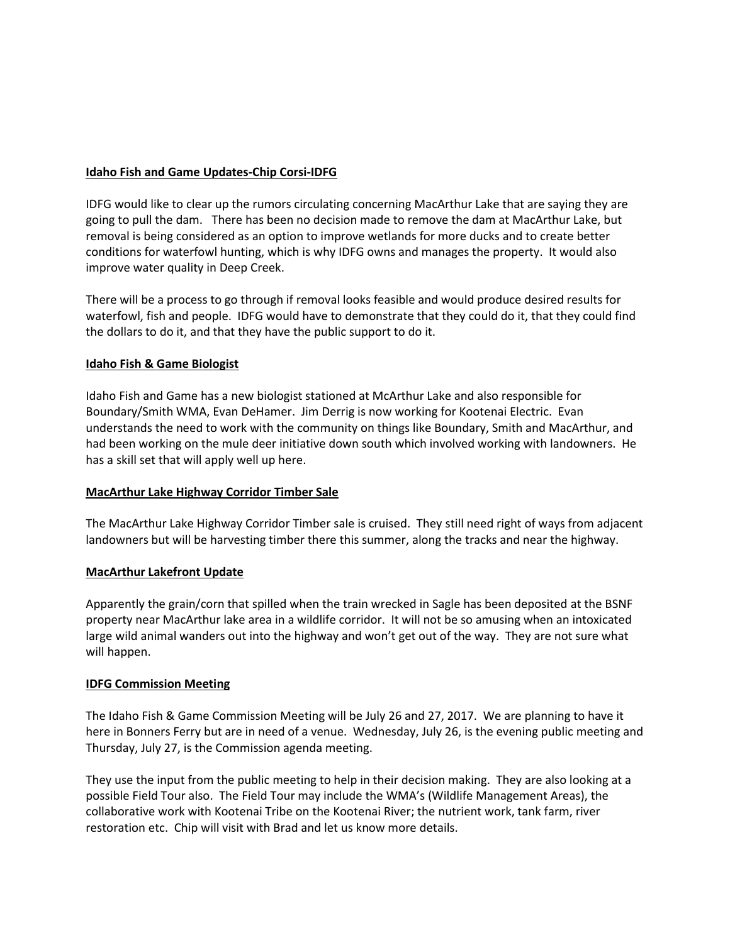# **Idaho Fish and Game Updates-Chip Corsi-IDFG**

IDFG would like to clear up the rumors circulating concerning MacArthur Lake that are saying they are going to pull the dam. There has been no decision made to remove the dam at MacArthur Lake, but removal is being considered as an option to improve wetlands for more ducks and to create better conditions for waterfowl hunting, which is why IDFG owns and manages the property. It would also improve water quality in Deep Creek.

There will be a process to go through if removal looks feasible and would produce desired results for waterfowl, fish and people. IDFG would have to demonstrate that they could do it, that they could find the dollars to do it, and that they have the public support to do it.

# **Idaho Fish & Game Biologist**

Idaho Fish and Game has a new biologist stationed at McArthur Lake and also responsible for Boundary/Smith WMA, Evan DeHamer. Jim Derrig is now working for Kootenai Electric. Evan understands the need to work with the community on things like Boundary, Smith and MacArthur, and had been working on the mule deer initiative down south which involved working with landowners. He has a skill set that will apply well up here.

# **MacArthur Lake Highway Corridor Timber Sale**

The MacArthur Lake Highway Corridor Timber sale is cruised. They still need right of ways from adjacent landowners but will be harvesting timber there this summer, along the tracks and near the highway.

# **MacArthur Lakefront Update**

Apparently the grain/corn that spilled when the train wrecked in Sagle has been deposited at the BSNF property near MacArthur lake area in a wildlife corridor. It will not be so amusing when an intoxicated large wild animal wanders out into the highway and won't get out of the way. They are not sure what will happen.

# **IDFG Commission Meeting**

The Idaho Fish & Game Commission Meeting will be July 26 and 27, 2017. We are planning to have it here in Bonners Ferry but are in need of a venue. Wednesday, July 26, is the evening public meeting and Thursday, July 27, is the Commission agenda meeting.

They use the input from the public meeting to help in their decision making. They are also looking at a possible Field Tour also. The Field Tour may include the WMA's (Wildlife Management Areas), the collaborative work with Kootenai Tribe on the Kootenai River; the nutrient work, tank farm, river restoration etc. Chip will visit with Brad and let us know more details.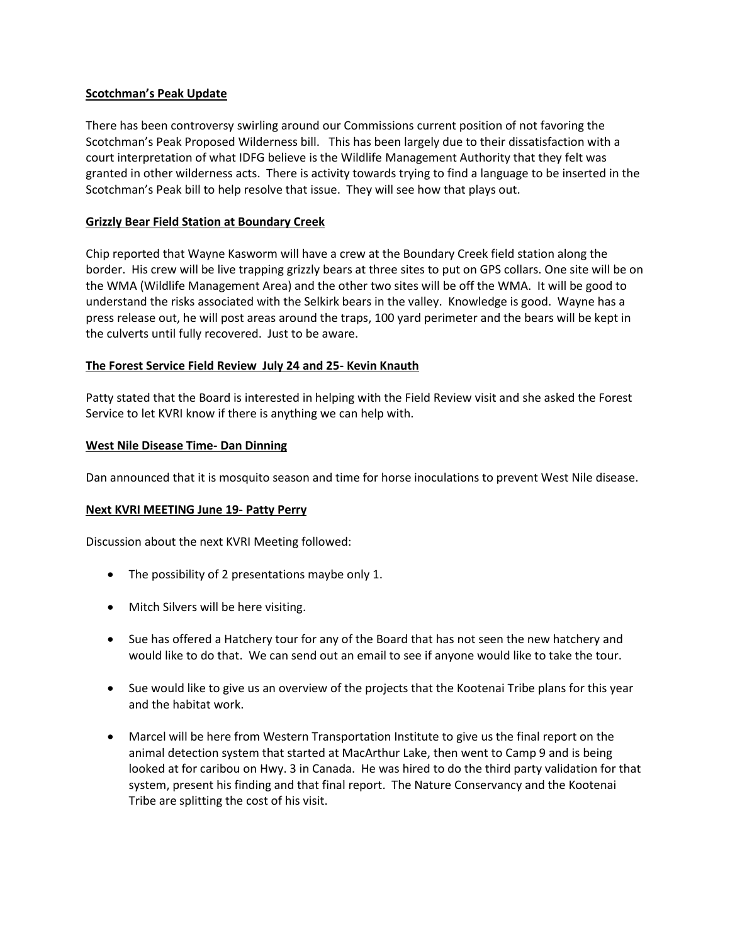### **Scotchman's Peak Update**

There has been controversy swirling around our Commissions current position of not favoring the Scotchman's Peak Proposed Wilderness bill. This has been largely due to their dissatisfaction with a court interpretation of what IDFG believe is the Wildlife Management Authority that they felt was granted in other wilderness acts. There is activity towards trying to find a language to be inserted in the Scotchman's Peak bill to help resolve that issue. They will see how that plays out.

### **Grizzly Bear Field Station at Boundary Creek**

Chip reported that Wayne Kasworm will have a crew at the Boundary Creek field station along the border. His crew will be live trapping grizzly bears at three sites to put on GPS collars. One site will be on the WMA (Wildlife Management Area) and the other two sites will be off the WMA. It will be good to understand the risks associated with the Selkirk bears in the valley. Knowledge is good. Wayne has a press release out, he will post areas around the traps, 100 yard perimeter and the bears will be kept in the culverts until fully recovered. Just to be aware.

#### **The Forest Service Field Review July 24 and 25- Kevin Knauth**

Patty stated that the Board is interested in helping with the Field Review visit and she asked the Forest Service to let KVRI know if there is anything we can help with.

#### **West Nile Disease Time- Dan Dinning**

Dan announced that it is mosquito season and time for horse inoculations to prevent West Nile disease.

#### **Next KVRI MEETING June 19- Patty Perry**

Discussion about the next KVRI Meeting followed:

- The possibility of 2 presentations maybe only 1.
- Mitch Silvers will be here visiting.
- Sue has offered a Hatchery tour for any of the Board that has not seen the new hatchery and would like to do that. We can send out an email to see if anyone would like to take the tour.
- Sue would like to give us an overview of the projects that the Kootenai Tribe plans for this year and the habitat work.
- Marcel will be here from Western Transportation Institute to give us the final report on the animal detection system that started at MacArthur Lake, then went to Camp 9 and is being looked at for caribou on Hwy. 3 in Canada. He was hired to do the third party validation for that system, present his finding and that final report. The Nature Conservancy and the Kootenai Tribe are splitting the cost of his visit.